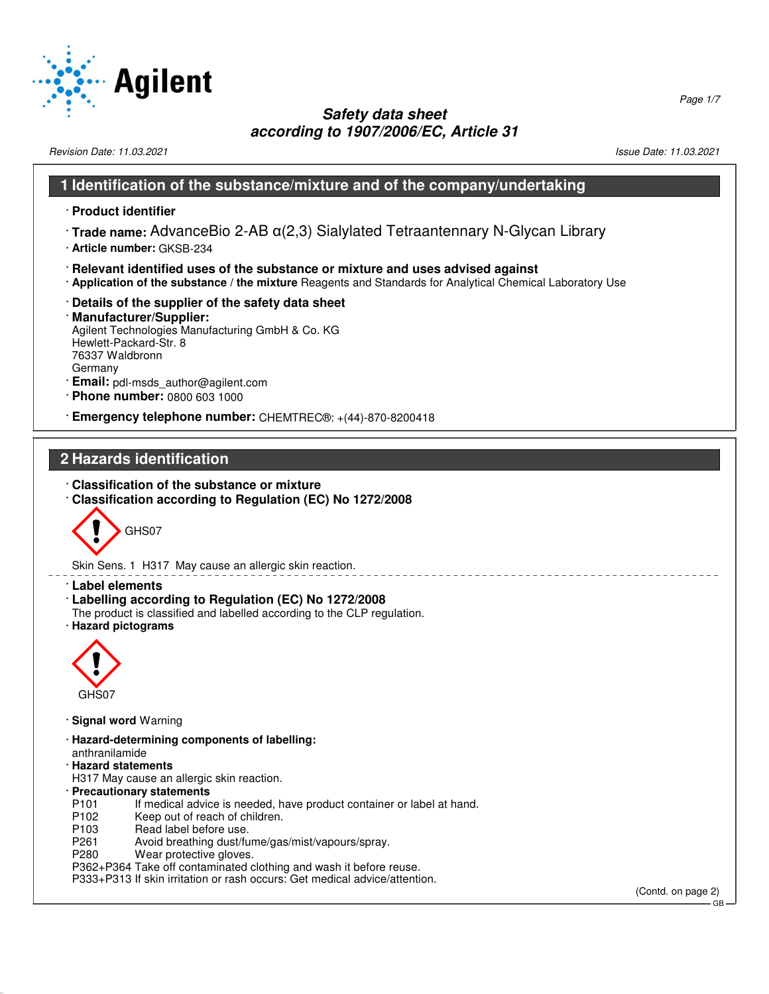

Revision Date: 11.03.2021 2012 12:03:2021 20:03:20:21 20:03:20:21 20:03:20:21 20:03:20:21 20:03:20:21 20:03:20:21

#### **1 Identification of the substance/mixture and of the company/undertaking**

· **Product identifier**

- · **Trade name:** AdvanceBio 2-AB α(2,3) Sialylated Tetraantennary N-Glycan Library
- · **Article number:** GKSB-234
- · **Relevant identified uses of the substance or mixture and uses advised against**
- · **Application of the substance / the mixture** Reagents and Standards for Analytical Chemical Laboratory Use
- · **Details of the supplier of the safety data sheet**

#### · **Manufacturer/Supplier:** Agilent Technologies Manufacturing GmbH & Co. KG Hewlett-Packard-Str. 8 76337 Waldbronn Germany

- · **Email:** pdl-msds\_author@agilent.com
- · **Phone number:** 0800 603 1000
- · **Emergency telephone number:** CHEMTREC®: +(44)-870-8200418

# **2 Hazards identification**

- · **Classification of the substance or mixture**
- · **Classification according to Regulation (EC) No 1272/2008**



Skin Sens. 1 H317 May cause an allergic skin reaction.

- · **Label elements**
- · **Labelling according to Regulation (EC) No 1272/2008**
- The product is classified and labelled according to the CLP regulation.
- · **Hazard pictograms**



52.0.1.1

- · **Signal word** Warning
- · **Hazard-determining components of labelling:** anthranilamide
- · **Hazard statements**
- H317 May cause an allergic skin reaction.
- · **Precautionary statements**
- P101 If medical advice is needed, have product container or label at hand.<br>P102 Keep out of reach of children.
- P102 Keep out of reach of children.<br>P103 Read label before use.
- P103 Read label before use.<br>P261 Avoid breathing dust/fu
- P261 Avoid breathing dust/fume/gas/mist/vapours/spray.<br>P280 Wear protective gloves.
- Wear protective gloves.
- P362+P364 Take off contaminated clothing and wash it before reuse.
- P333+P313 If skin irritation or rash occurs: Get medical advice/attention.

(Contd. on page 2) GB

Page 1/7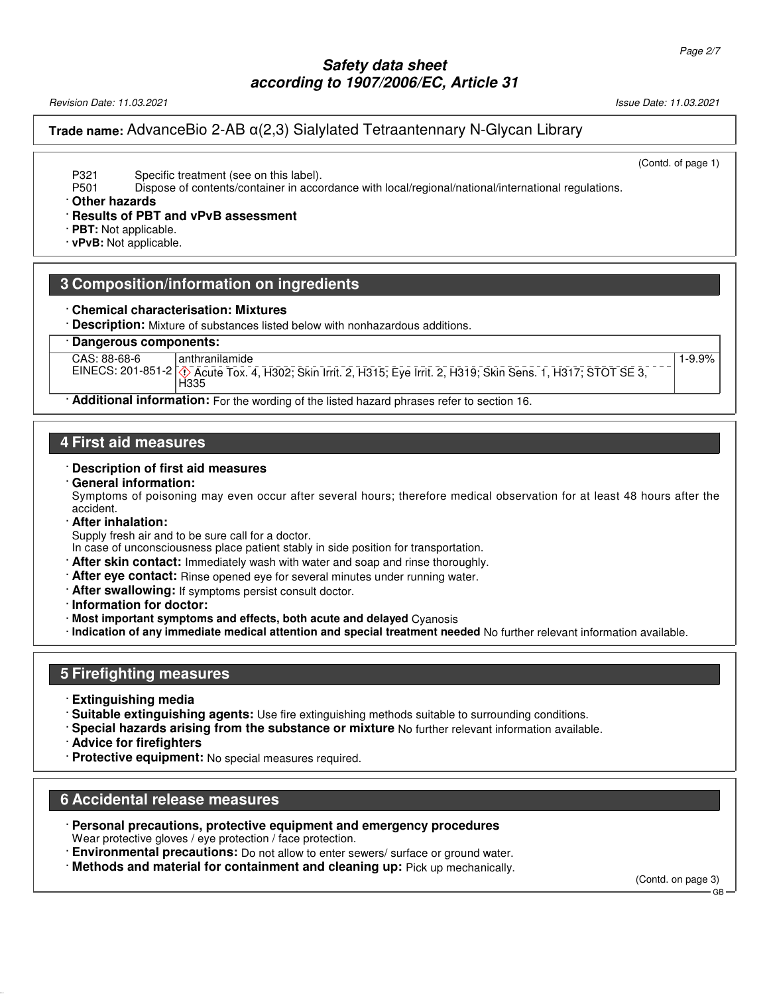Revision Date: 11.03.2021 Issue Date: 11.03.2021

### **Trade name:** AdvanceBio 2-AB α(2,3) Sialylated Tetraantennary N-Glycan Library

(Contd. of page 1)

1-9.9%

P321 Specific treatment (see on this label).

P501 Dispose of contents/container in accordance with local/regional/national/international regulations.

#### · **Other hazards**

· **Results of PBT and vPvB assessment**

· **PBT:** Not applicable.

· **vPvB:** Not applicable.

### **3 Composition/information on ingredients**

#### · **Chemical characterisation: Mixtures**

· **Description:** Mixture of substances listed below with nonhazardous additions.

#### · **Dangerous components:**

CAS: 88-68-6 anthranilamide

EINECS: 201-851-2 d~ Acute Tox. 4, H302; Skin Irrit. 2, H315; Eye Irrit. 2, H319; Skin Sens. 1, H317; STOT SE 3,

# H335

· **Additional information:** For the wording of the listed hazard phrases refer to section 16.

#### **4 First aid measures**

#### · **Description of first aid measures**

#### · **General information:**

Symptoms of poisoning may even occur after several hours; therefore medical observation for at least 48 hours after the accident.

#### · **After inhalation:**

Supply fresh air and to be sure call for a doctor.

In case of unconsciousness place patient stably in side position for transportation.

- · **After skin contact:** Immediately wash with water and soap and rinse thoroughly.
- · **After eye contact:** Rinse opened eye for several minutes under running water.
- · **After swallowing:** If symptoms persist consult doctor.
- · **Information for doctor:**
- · **Most important symptoms and effects, both acute and delayed** Cyanosis
- · **Indication of any immediate medical attention and special treatment needed** No further relevant information available.

#### **5 Firefighting measures**

- · **Extinguishing media**
- · **Suitable extinguishing agents:** Use fire extinguishing methods suitable to surrounding conditions.
- · **Special hazards arising from the substance or mixture** No further relevant information available.
- · **Advice for firefighters**

52.0.1.1

· **Protective equipment:** No special measures required.

### **6 Accidental release measures**

- · **Personal precautions, protective equipment and emergency procedures** Wear protective gloves / eye protection / face protection.
- **Environmental precautions:** Do not allow to enter sewers/ surface or ground water.
- · **Methods and material for containment and cleaning up:** Pick up mechanically.

(Contd. on page 3)

GB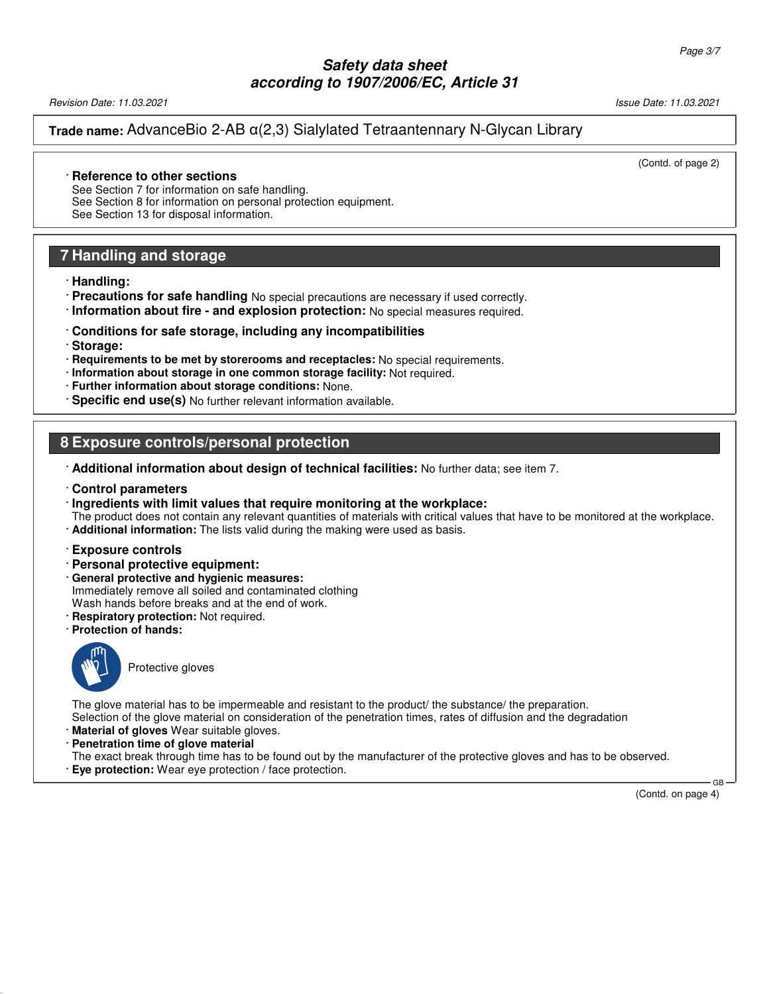Revision Date: 11.03.2021 Issue Date: 11.03.2021

#### **Trade name:** AdvanceBio 2-AB α(2,3) Sialylated Tetraantennary N-Glycan Library

(Contd. of page 2)

#### · **Reference to other sections**

See Section 7 for information on safe handling. See Section 8 for information on personal protection equipment. See Section 13 for disposal information.

### **7 Handling and storage**

· **Handling:**

· **Precautions for safe handling** No special precautions are necessary if used correctly.

· **Information about fire - and explosion protection:** No special measures required.

#### · **Conditions for safe storage, including any incompatibilities**

· **Storage:**

- · **Requirements to be met by storerooms and receptacles:** No special requirements.
- · **Information about storage in one common storage facility:** Not required.
- · **Further information about storage conditions:** None.
- · **Specific end use(s)** No further relevant information available.

### **8 Exposure controls/personal protection**

- · **Additional information about design of technical facilities:** No further data; see item 7.
- · **Control parameters**

#### · **Ingredients with limit values that require monitoring at the workplace:**

- The product does not contain any relevant quantities of materials with critical values that have to be monitored at the workplace. · **Additional information:** The lists valid during the making were used as basis.
- · **Exposure controls**
- · **Personal protective equipment:**
- · **General protective and hygienic measures:** Immediately remove all soiled and contaminated clothing
- Wash hands before breaks and at the end of work.
- · **Respiratory protection:** Not required.
- · **Protection of hands:**



52.0.1.1

Protective gloves

The glove material has to be impermeable and resistant to the product/ the substance/ the preparation. Selection of the glove material on consideration of the penetration times, rates of diffusion and the degradation

- · **Material of gloves** Wear suitable gloves.
- · **Penetration time of glove material**

The exact break through time has to be found out by the manufacturer of the protective gloves and has to be observed. · **Eye protection:** Wear eye protection / face protection.

(Contd. on page 4)

GB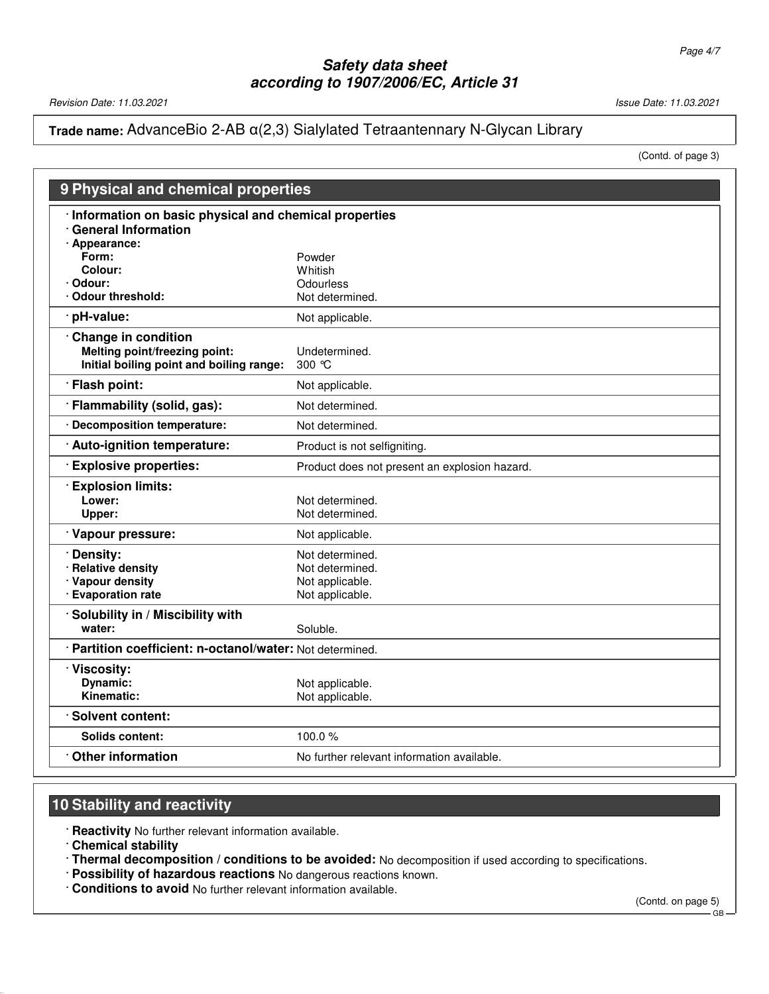Revision Date: 11.03.2021 **Issue Date: 11.03.2021** Issue Date: 11.03.2021

# **Trade name:** AdvanceBio 2-AB α(2,3) Sialylated Tetraantennary N-Glycan Library

(Contd. of page 3)

| 9 Physical and chemical properties                        |                                               |  |
|-----------------------------------------------------------|-----------------------------------------------|--|
| Information on basic physical and chemical properties     |                                               |  |
| <b>General Information</b>                                |                                               |  |
| · Appearance:                                             |                                               |  |
| Form:<br>Colour:                                          | Powder<br>Whitish                             |  |
| Odour:                                                    | Odourless                                     |  |
| <b>Odour threshold:</b>                                   | Not determined.                               |  |
| pH-value:                                                 | Not applicable.                               |  |
| Change in condition                                       |                                               |  |
| Melting point/freezing point:                             | Undetermined.                                 |  |
| Initial boiling point and boiling range:                  | 300 $\degree$ C                               |  |
| <b>Flash point:</b>                                       | Not applicable.                               |  |
| · Flammability (solid, gas):                              | Not determined.                               |  |
| · Decomposition temperature:                              | Not determined.                               |  |
| Auto-ignition temperature:                                | Product is not selfigniting.                  |  |
| <b>Explosive properties:</b>                              | Product does not present an explosion hazard. |  |
| <b>Explosion limits:</b>                                  |                                               |  |
| Lower:                                                    | Not determined.                               |  |
| Upper:                                                    | Not determined.                               |  |
| · Vapour pressure:                                        | Not applicable.                               |  |
| Density:                                                  | Not determined.                               |  |
| <b>Relative density</b>                                   | Not determined.                               |  |
| Vapour density                                            | Not applicable.                               |  |
| · Evaporation rate                                        | Not applicable.                               |  |
| Solubility in / Miscibility with                          |                                               |  |
| water:                                                    | Soluble.                                      |  |
| · Partition coefficient: n-octanol/water: Not determined. |                                               |  |
| · Viscosity:                                              |                                               |  |
| Dynamic:                                                  | Not applicable.                               |  |
| Kinematic:                                                | Not applicable.                               |  |
| <b>Solvent content:</b>                                   |                                               |  |
| Solids content:                                           | 100.0%                                        |  |
| <b>Other information</b>                                  | No further relevant information available.    |  |

# **10 Stability and reactivity**

· **Reactivity** No further relevant information available.

· **Chemical stability**

52.0.1.1

- · **Thermal decomposition / conditions to be avoided:** No decomposition if used according to specifications.
- · **Possibility of hazardous reactions** No dangerous reactions known.
- · **Conditions to avoid** No further relevant information available.

(Contd. on page 5)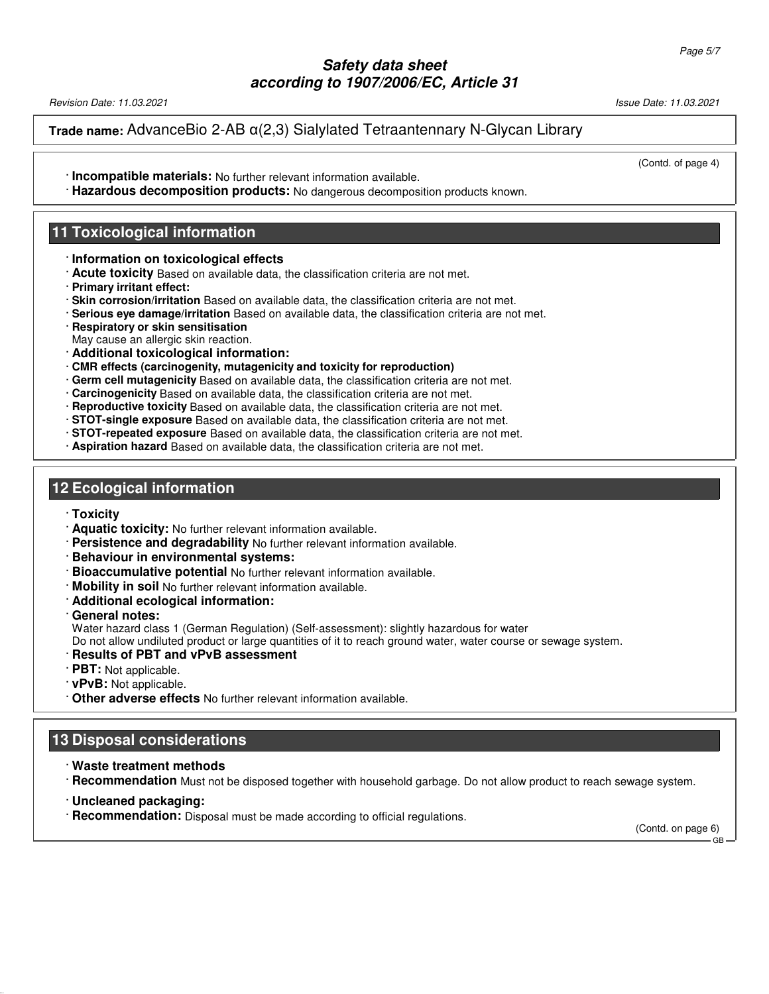Revision Date: 11.03.2021 Issue Date: 11.03.2021

**Trade name:** AdvanceBio 2-AB α(2,3) Sialylated Tetraantennary N-Glycan Library

· **Incompatible materials:** No further relevant information available.

(Contd. of page 4)

· **Hazardous decomposition products:** No dangerous decomposition products known.

#### **11 Toxicological information**

- · **Information on toxicological effects**
- · **Acute toxicity** Based on available data, the classification criteria are not met.
- · **Primary irritant effect:**
- · **Skin corrosion/irritation** Based on available data, the classification criteria are not met.
- · **Serious eye damage/irritation** Based on available data, the classification criteria are not met.
- · **Respiratory or skin sensitisation**
- May cause an allergic skin reaction.
- · **Additional toxicological information:**
- · **CMR effects (carcinogenity, mutagenicity and toxicity for reproduction)**
- · **Germ cell mutagenicity** Based on available data, the classification criteria are not met.
- · **Carcinogenicity** Based on available data, the classification criteria are not met.
- · **Reproductive toxicity** Based on available data, the classification criteria are not met.
- · **STOT-single exposure** Based on available data, the classification criteria are not met.
- · **STOT-repeated exposure** Based on available data, the classification criteria are not met.
- · **Aspiration hazard** Based on available data, the classification criteria are not met.

### **12 Ecological information**

- · **Toxicity**
- · **Aquatic toxicity:** No further relevant information available.
- · **Persistence and degradability** No further relevant information available.
- · **Behaviour in environmental systems:**
- · **Bioaccumulative potential** No further relevant information available.
- · **Mobility in soil** No further relevant information available.
- · **Additional ecological information:**
- · **General notes:**

Water hazard class 1 (German Regulation) (Self-assessment): slightly hazardous for water

Do not allow undiluted product or large quantities of it to reach ground water, water course or sewage system.

- · **Results of PBT and vPvB assessment**
- · **PBT:** Not applicable.
- · **vPvB:** Not applicable.
- · **Other adverse effects** No further relevant information available.

# **13 Disposal considerations**

- · **Waste treatment methods**
- · **Recommendation** Must not be disposed together with household garbage. Do not allow product to reach sewage system.
- · **Uncleaned packaging:**

52.0.1.1

· **Recommendation:** Disposal must be made according to official regulations.

(Contd. on page 6) GB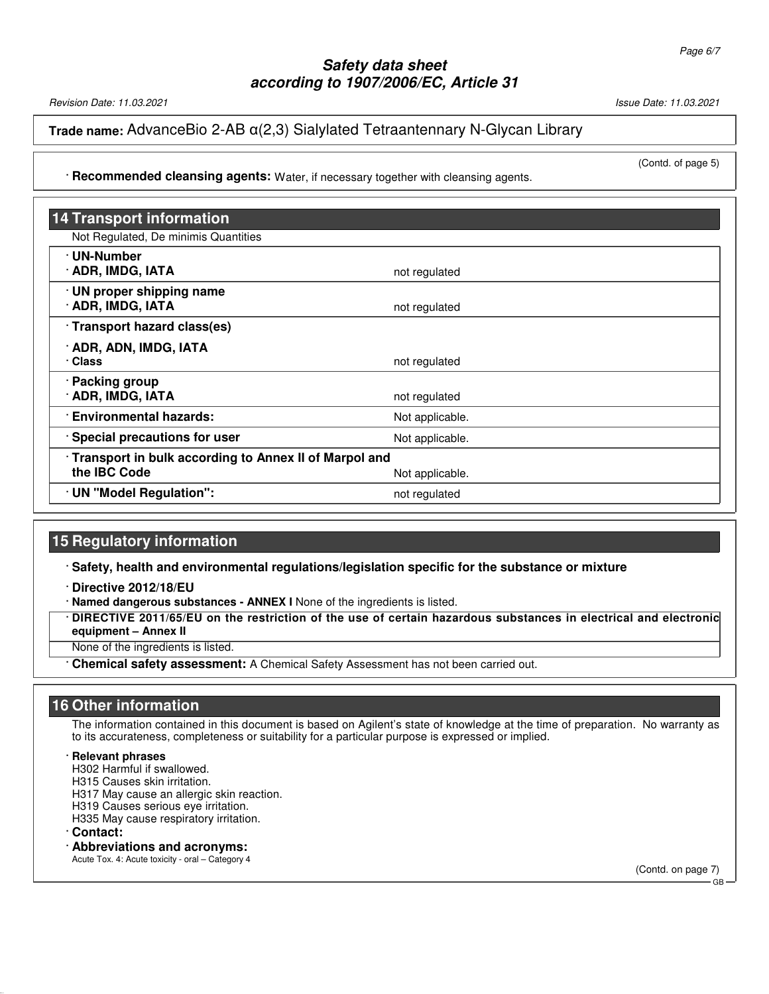Revision Date: 11.03.2021 Issue Date: 11.03.2021

(Contd. of page 5)

### **Trade name:** AdvanceBio 2-AB α(2,3) Sialylated Tetraantennary N-Glycan Library

· **Recommended cleansing agents:** Water, if necessary together with cleansing agents.

| <b>14 Transport information</b>                                         |                 |  |
|-------------------------------------------------------------------------|-----------------|--|
| Not Regulated, De minimis Quantities                                    |                 |  |
| · UN-Number<br>· ADR, IMDG, IATA                                        | not regulated   |  |
| · UN proper shipping name<br>· ADR, IMDG, IATA                          | not regulated   |  |
| Transport hazard class(es)                                              |                 |  |
| · ADR, ADN, IMDG, IATA<br>· Class                                       | not regulated   |  |
| · Packing group<br>· ADR, IMDG, IATA                                    | not regulated   |  |
| <b>Environmental hazards:</b>                                           | Not applicable. |  |
| · Special precautions for user                                          | Not applicable. |  |
| · Transport in bulk according to Annex II of Marpol and<br>the IBC Code | Not applicable. |  |
| · UN "Model Regulation":                                                | not regulated   |  |

### **15 Regulatory information**

· **Safety, health and environmental regulations/legislation specific for the substance or mixture**

· **Directive 2012/18/EU**

· **Named dangerous substances - ANNEX I** None of the ingredients is listed.

· **DIRECTIVE 2011/65/EU on the restriction of the use of certain hazardous substances in electrical and electronic equipment – Annex II**

None of the ingredients is listed.

· **Chemical safety assessment:** A Chemical Safety Assessment has not been carried out.

### **16 Other information**

The information contained in this document is based on Agilent's state of knowledge at the time of preparation. No warranty as to its accurateness, completeness or suitability for a particular purpose is expressed or implied.

#### · **Relevant phrases**

H302 Harmful if swallowed.

H315 Causes skin irritation.

H317 May cause an allergic skin reaction.

H319 Causes serious eye irritation.

H335 May cause respiratory irritation.

· **Contact:**

52.0.1.1

### · **Abbreviations and acronyms:**

Acute Tox. 4: Acute toxicity - oral – Category 4

(Contd. on page 7) GB